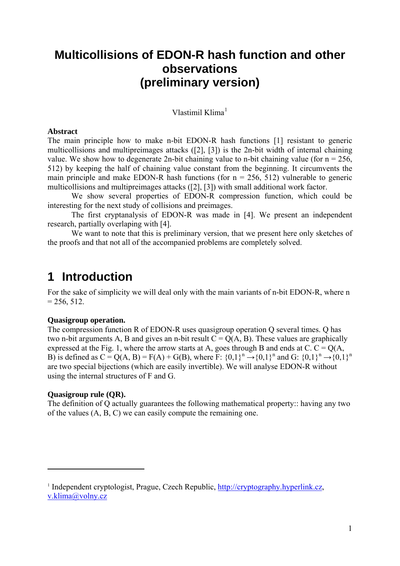## **Multicollisions of EDON-R hash function and other observations (preliminary version)**

Vlastimil Klima<sup>[1](#page-0-0)</sup>

#### **Abstract**

The main principle how to make n-bit EDON-R hash functions [1] resistant to generic multicollisions and multipreimages attacks ([2], [3]) is the 2n-bit width of internal chaining value. We show how to degenerate 2n-bit chaining value to n-bit chaining value (for  $n = 256$ , 512) by keeping the half of chaining value constant from the beginning. It circumvents the main principle and make EDON-R hash functions (for  $n = 256, 512$ ) vulnerable to generic multicollisions and multipreimages attacks ([2], [3]) with small additional work factor.

 We show several properties of EDON-R compression function, which could be interesting for the next study of collisions and preimages.

 The first cryptanalysis of EDON-R was made in [4]. We present an independent research, partially overlaping with [4].

We want to note that this is preliminary version, that we present here only sketches of the proofs and that not all of the accompanied problems are completely solved.

## **1 Introduction**

For the sake of simplicity we will deal only with the main variants of n-bit EDON-R, where n  $= 256, 512.$ 

#### **Quasigroup operation.**

The compression function R of EDON-R uses quasigroup operation Q several times. Q has two n-bit arguments A, B and gives an n-bit result  $C = Q(A, B)$ . These values are graphically expressed at the Fig. 1, where the arrow starts at A, goes through B and ends at C.  $C = Q(A,$ B) is defined as  $C = Q(A, B) = F(A) + G(B)$ , where  $F: \{0,1\}^n \rightarrow \{0,1\}^n$  and  $G: \{0,1\}^n \rightarrow \{0,1\}^n$ are two special bijections (which are easily invertible). We will analyse EDON-R without using the internal structures of F and G.

#### **Quasigroup rule (QR).**

1

The definition of Q actually guarantees the following mathematical property:: having any two of the values (A, B, C) we can easily compute the remaining one.

<span id="page-0-0"></span><sup>&</sup>lt;sup>1</sup> Independent cryptologist, Prague, Czech Republic, [http://cryptography.hyperlink.cz,](http://cryptography.hyperlink.cz/) [v.klima@volny.cz](mailto:v.klima@volny.cz)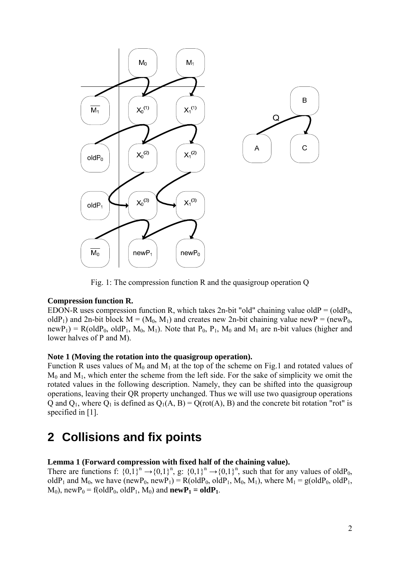

Fig. 1: The compression function R and the quasigroup operation Q

## **Compression function R.**

EDON-R uses compression function R, which takes 2n-bit "old" chaining value oldP =  $\text{(oldP}_0,$ oldP<sub>1</sub>) and 2n-bit block  $M = (M_0, M_1)$  and creates new 2n-bit chaining value newP = (newP<sub>0</sub>,  $newP_1$ ) = R(oldP<sub>0</sub>, oldP<sub>1</sub>, M<sub>0</sub>, M<sub>1</sub>). Note that P<sub>0</sub>, P<sub>1</sub>, M<sub>0</sub> and M<sub>1</sub> are n-bit values (higher and lower halves of P and M).

## **Note 1 (Moving the rotation into the quasigroup operation).**

Function R uses values of  $M_0$  and  $M_1$  at the top of the scheme on Fig.1 and rotated values of  $M_0$  and  $M_1$ , which enter the scheme from the left side. For the sake of simplicity we omit the rotated values in the following description. Namely, they can be shifted into the quasigroup operations, leaving their QR property unchanged. Thus we will use two quasigroup operations Q and  $Q_1$ , where  $Q_1$  is defined as  $Q_1(A, B) = Q(rot(A), B)$  and the concrete bit rotation "rot" is specified in [1].

# **2 Collisions and fix points**

#### **Lemma 1 (Forward compression with fixed half of the chaining value).**

There are functions f:  $\{0,1\}^n \rightarrow \{0,1\}^n$ , g:  $\{0,1\}^n \rightarrow \{0,1\}^n$ , such that for any values of oldP<sub>0</sub>, oldP<sub>1</sub> and M<sub>0</sub>, we have (newP<sub>0</sub>, newP<sub>1</sub>) = R(oldP<sub>0</sub>, oldP<sub>1</sub>, M<sub>0</sub>, M<sub>1</sub>), where M<sub>1</sub> = g(oldP<sub>0</sub>, oldP<sub>1</sub>,  $M_0$ ), new $P_0$  = f(old $P_0$ , old $P_1$ ,  $M_0$ ) and **new** $P_1$  = **old** $P_1$ .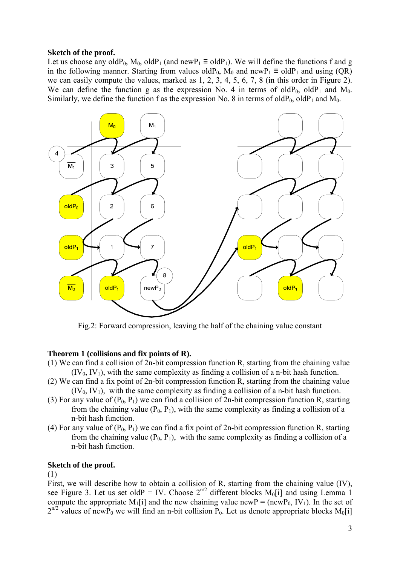#### **Sketch of the proof.**

Let us choose any oldP<sub>0</sub>, M<sub>0</sub>, oldP<sub>1</sub> (and newP<sub>1</sub>  $\equiv$  oldP<sub>1</sub>). We will define the functions f and g in the following manner. Starting from values oldP<sub>0</sub>, M<sub>0</sub> and newP<sub>1</sub>  $\equiv$  oldP<sub>1</sub> and using (QR) we can easily compute the values, marked as 1, 2, 3, 4, 5, 6, 7, 8 (in this order in Figure 2). We can define the function g as the expression No. 4 in terms of old $P_0$ , old $P_1$  and  $M_0$ . Similarly, we define the function f as the expression No. 8 in terms of old $P_0$ , old $P_1$  and  $M_0$ .



Fig.2: Forward compression, leaving the half of the chaining value constant

#### **Theorem 1 (collisions and fix points of R).**

- (1) We can find a collision of 2n-bit compression function R, starting from the chaining value  $(IV_0, IV_1)$ , with the same complexity as finding a collision of a n-bit hash function.
- (2) We can find a fix point of 2n-bit compression function R, starting from the chaining value  $(IV_0, IV_1)$ , with the same complexity as finding a collision of a n-bit hash function.
- (3) For any value of  $(P_0, P_1)$  we can find a collision of 2n-bit compression function R, starting from the chaining value  $(P_0, P_1)$ , with the same complexity as finding a collision of a n-bit hash function.
- (4) For any value of  $(P_0, P_1)$  we can find a fix point of 2n-bit compression function R, starting from the chaining value  $(P_0, P_1)$ , with the same complexity as finding a collision of a n-bit hash function.

#### **Sketch of the proof.**

(1)

First, we will describe how to obtain a collision of R, starting from the chaining value (IV), see Figure 3. Let us set oldP = IV. Choose  $2^{n/2}$  different blocks M<sub>0</sub>[i] and using Lemma 1 compute the appropriate M<sub>1</sub>[i] and the new chaining value newP = (newP<sub>0</sub>, IV<sub>1</sub>). In the set of  $2^{n/2}$  values of newP<sub>0</sub> we will find an n-bit collision P<sub>0</sub>. Let us denote appropriate blocks M<sub>0</sub>[i]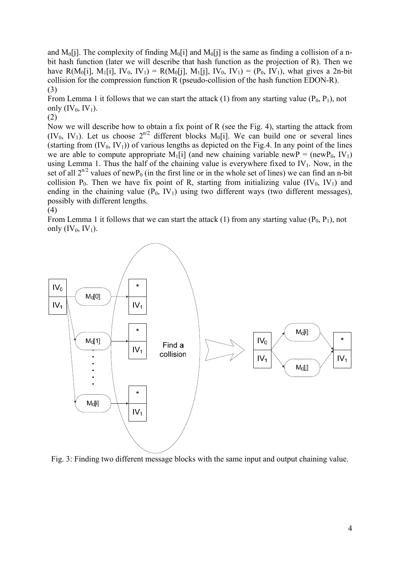and M<sub>0</sub>[j]. The complexity of finding M<sub>0</sub>[i] and M<sub>0</sub>[j] is the same as finding a collision of a nbit hash function (later we will describe that hash function as the projection of R). Then we have R(M<sub>0</sub>[i], M<sub>1</sub>[i], IV<sub>0</sub>, IV<sub>1</sub>) = R(M<sub>0</sub>[i], M<sub>1</sub>[i], IV<sub>0</sub>, IV<sub>1</sub>) = (P<sub>0</sub>, IV<sub>1</sub>), what gives a 2n-bit collision for the compression function R (pseudo-collision of the hash function EDON-R). (3)

From Lemma 1 it follows that we can start the attack (1) from any starting value  $(P_0, P_1)$ , not only  $(IV_0, IV_1)$ .

(2)

Now we will describe how to obtain a fix point of R (see the Fig. 4), starting the attack from  $(IV_0, IV_1)$ . Let us choose  $2^{n/2}$  different blocks  $M_0[i]$ . We can build one or several lines (starting from  $(V_0, IV_1)$ ) of various lengths as depicted on the Fig.4. In any point of the lines we are able to compute appropriate  $M_1[i]$  (and new chaining variable new  $P = (newP_0, IV_1)$ ) using Lemma 1. Thus the half of the chaining value is everywhere fixed to  $IV_1$ . Now, in the set of all  $2^{n/2}$  values of newP<sub>0</sub> (in the first line or in the whole set of lines) we can find an n-bit collision  $P_0$ . Then we have fix point of R, starting from initializing value (IV<sub>0</sub>, IV<sub>1</sub>) and ending in the chaining value  $(P_0, IV_1)$  using two different ways (two different messages), possibly with different lengths.



From Lemma 1 it follows that we can start the attack (1) from any starting value  $(P_0, P_1)$ , not only  $(IV_0, IV_1)$ .



Fig. 3: Finding two different message blocks with the same input and output chaining value.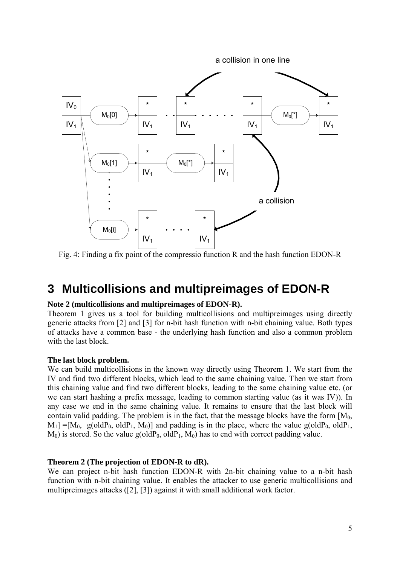

Fig. 4: Finding a fix point of the compressio function R and the hash function EDON-R

## **3 Multicollisions and multipreimages of EDON-R**

#### **Note 2 (multicollisions and multipreimages of EDON-R).**

Theorem 1 gives us a tool for building multicollisions and multipreimages using directly generic attacks from [2] and [3] for n-bit hash function with n-bit chaining value. Both types of attacks have a common base - the underlying hash function and also a common problem with the last block.

#### **The last block problem.**

We can build multicollisions in the known way directly using Theorem 1. We start from the IV and find two different blocks, which lead to the same chaining value. Then we start from this chaining value and find two different blocks, leading to the same chaining value etc. (or we can start hashing a prefix message, leading to common starting value (as it was IV)). In any case we end in the same chaining value. It remains to ensure that the last block will contain valid padding. The problem is in the fact, that the message blocks have the form  $[M_0, m_1]$  $M_1$ ] =[ $M_0$ , g(old $P_0$ , old $P_1$ ,  $M_0$ )] and padding is in the place, where the value g(old $P_0$ , old $P_1$ ,  $M_0$ ) is stored. So the value g(oldP<sub>0</sub>, oldP<sub>1</sub>,  $M_0$ ) has to end with correct padding value.

#### **Theorem 2 (The projection of EDON-R to dR).**

We can project n-bit hash function EDON-R with 2n-bit chaining value to a n-bit hash function with n-bit chaining value. It enables the attacker to use generic multicollisions and multipreimages attacks ([2], [3]) against it with small additional work factor.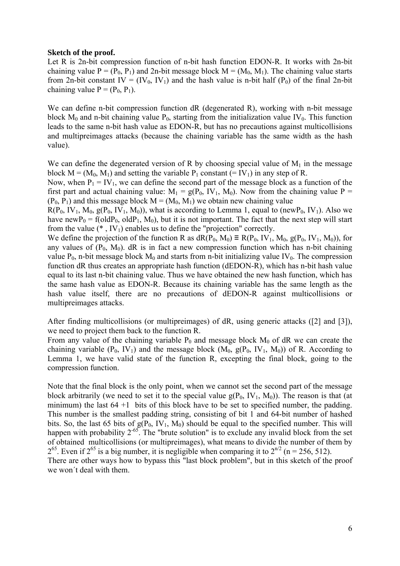#### **Sketch of the proof.**

Let R is 2n-bit compression function of n-bit hash function EDON-R. It works with 2n-bit chaining value  $P = (P_0, P_1)$  and 2n-bit message block  $M = (M_0, M_1)$ . The chaining value starts from 2n-bit constant  $IV = (IV_0, IV_1)$  and the hash value is n-bit half  $(P_0)$  of the final 2n-bit chaining value  $P = (P_0, P_1)$ .

We can define n-bit compression function dR (degenerated R), working with n-bit message block  $M_0$  and n-bit chaining value  $P_0$ , starting from the initialization value IV<sub>0</sub>. This function leads to the same n-bit hash value as EDON-R, but has no precautions against multicollisions and multipreimages attacks (because the chaining variable has the same width as the hash value).

We can define the degenerated version of R by choosing special value of  $M_1$  in the message block  $M = (M_0, M_1)$  and setting the variable  $P_1$  constant (= IV<sub>1</sub>) in any step of R.

Now, when  $P_1 = IV_1$ , we can define the second part of the message block as a function of the first part and actual chaining value:  $M_1 = g(P_0, IV_1, M_0)$ . Now from the chaining value P =  $(P_0, P_1)$  and this message block  $M = (M_0, M_1)$  we obtain new chaining value

 $R(P_0, IV_1, M_0, g(P_0, IV_1, M_0))$ , what is according to Lemma 1, equal to (new P<sub>0</sub>, IV<sub>1</sub>). Also we have newP<sub>0</sub> = f(oldP<sub>0</sub>, oldP<sub>1</sub>, M<sub>0</sub>), but it is not important. The fact that the next step will start from the value  $(*$ ,  $IV_1)$  enables us to define the "projection" correctly.

We define the projection of the function R as  $dR(P_0, M_0) \equiv R(P_0, IV_1, M_0, g(P_0, IV_1, M_0))$ , for any values of  $(P_0, M_0)$ . dR is in fact a new compression function which has n-bit chaining value  $P_0$ , n-bit message block  $M_0$  and starts from n-bit initializing value IV<sub>0</sub>. The compression function dR thus creates an appropriate hash function (dEDON-R), which has n-bit hash value equal to its last n-bit chaining value. Thus we have obtained the new hash function, which has the same hash value as EDON-R. Because its chaining variable has the same length as the hash value itself, there are no precautions of dEDON-R against multicollisions or multipreimages attacks.

After finding multicollisions (or multipreimages) of dR, using generic attacks ([2] and [3]), we need to project them back to the function R.

From any value of the chaining variable  $P_0$  and message block  $M_0$  of dR we can create the chaining variable  $(P_0, IV_1)$  and the message block  $(M_0, g(P_0, IV_1, M_0))$  of R. According to Lemma 1, we have valid state of the function R, excepting the final block, going to the compression function.

Note that the final block is the only point, when we cannot set the second part of the message block arbitrarily (we need to set it to the special value  $g(P_0, IV_1, M_0)$ ). The reason is that (at minimum) the last  $64 + 1$  bits of this block have to be set to specified number, the padding. This number is the smallest padding string, consisting of bit 1 and 64-bit number of hashed bits. So, the last 65 bits of  $g(P_0, IV_1, M_0)$  should be equal to the specified number. This will happen with probability  $2^{-65}$ . The "brute solution" is to exclude any invalid block from the set of obtained multicollisions (or multipreimages), what means to divide the number of them by  $2^{65}$ . Even if  $2^{65}$  is a big number, it is negligible when comparing it to  $2^{n/2}$  (n = 256, 512).

There are other ways how to bypass this "last block problem", but in this sketch of the proof we won't deal with them.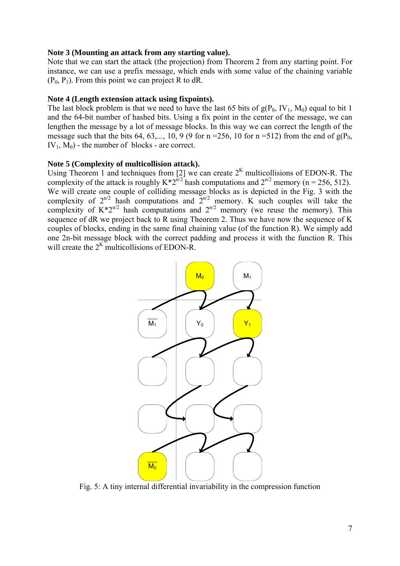#### **Note 3 (Mounting an attack from any starting value).**

Note that we can start the attack (the projection) from Theorem 2 from any starting point. For instance, we can use a prefix message, which ends with some value of the chaining variable  $(P_0, P_1)$ . From this point we can project R to dR.

#### **Note 4 (Length extension attack using fixpoints).**

The last block problem is that we need to have the last 65 bits of  $g(P_0, IV_1, M_0)$  equal to bit 1 and the 64-bit number of hashed bits. Using a fix point in the center of the message, we can lengthen the message by a lot of message blocks. In this way we can correct the length of the message such that the bits 64, 63,..., 10, 9 (9 for n = 256, 10 for n = 512) from the end of  $g(P_0,$  $IV_1$ ,  $M_0$ ) - the number of blocks - are correct.

### **Note 5 (Complexity of multicollision attack).**

Using Theorem 1 and techniques from [2] we can create  $2<sup>K</sup>$  multicollisions of EDON-R. The complexity of the attack is roughly  $K^*2^{n/2}$  hash computations and  $2^{n/2}$  memory (n = 256, 512). We will create one couple of colliding message blocks as is depicted in the Fig. 3 with the complexity of  $2^{n/2}$  hash computations and  $2^{n/2}$  memory. K such couples will take the complexity of  $K^*2^{n/2}$  hash computations and  $2^{n/2}$  memory (we reuse the memory). This sequence of dR we project back to R using Theorem 2. Thus we have now the sequence of K couples of blocks, ending in the same final chaining value (of the function R). We simply add one 2n-bit message block with the correct padding and process it with the function R. This will create the  $2<sup>K</sup>$  multicollisions of EDON-R.



Fig. 5: A tiny internal differential invariability in the compression function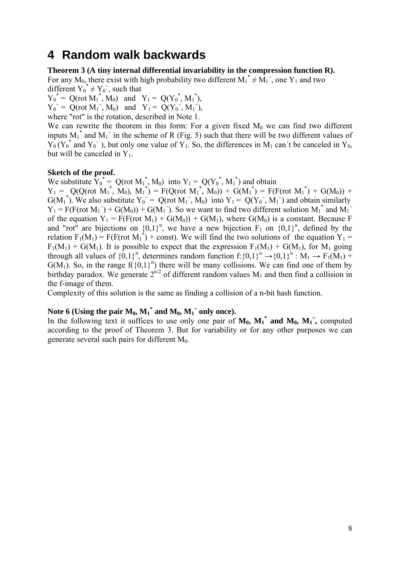## **4 Random walk backwards**

### **Theorem 3 (A tiny internal differential invariability in the compression function R).**

For any M<sub>0</sub>, there exist with high probability two different  $M_1^* \neq M_1^*$ , one Y<sub>1</sub> and two different  $Y_0^* \neq Y_0$ , such that

 ${Y_0}^* = Q(\text{rot } M_1^*, M_0)$  and  $Y_1 = Q({Y_0}^*, M_1^*),$ 

 $Y_0^{\sim} = Q(\text{rot } M_1^{\sim}, M_0)$  and  $Y_1 = Q(Y_0^{\sim}, M_1^{\sim}),$ 

where "rot" is the rotation, described in Note 1.

We can rewrite the theorem in this form: For a given fixed  $M_0$  we can find two different inputs  $M_1^*$  and  $M_1^*$  in the scheme of R (Fig. 5) such that there will be two different values of  $Y_0(Y_0^*$  and  $Y_0^*)$ , but only one value of  $Y_1$ . So, the differences in M<sub>1</sub> can't be canceled in Y<sub>0</sub>, but will be canceled in  $Y_1$ .

### **Sketch of the proof.**

We substitute  $\overline{Y}_0^* = Q(\text{rot } M_1^*, M_0)$  into  $Y_1 = Q(Y_0^*, M_1^*)$  and obtain

 $Y_1 = Q(Q(\text{rot } M_1^*, M_0), M_1^*) = F(Q(\text{rot } M_1^*, M_0)) + G(M_1^*) = F(F(\text{rot } M_1^*) + G(M_0)) +$  $G(M_1^*)$ . We also substitute  $Y_0^{\sim} = Q(\text{rot } M_1^{\sim}, M_0)$  into  $Y_1 = Q(Y_0^{\sim}, M_1^{\sim})$  and obtain similarly  $Y_1 = F(F(\text{rot } M_1)) + G(M_0)) + G(M_1)$ . So we want to find two different solution  $M_1$ <sup>\*</sup> and  $M_1$ <sup>\*</sup> of the equation  $Y_1 = F(F({\rm rot} M_1) + G(M_0)) + G(M_1)$ , where  $G(M_0)$  is a constant. Because F and "rot" are bijections on  ${0,1}^n$ , we have a new bijection  $F_1$  on  ${0,1}^n$ , defined by the relation  $F_1(M_1) = F(F(\text{rot } M_1^*) + \text{const})$ . We will find the two solutions of the equation  $Y_1 =$  $F_1(M_1) + G(M_1)$ . It is possible to expect that the expression  $F_1(M_1) + G(M_1)$ , for  $M_1$  going through all values of  $\{0,1\}^n$ , determines random function  $f: \{0,1\}^n \rightarrow \{0,1\}^n : M_1 \rightarrow F_1(M_1)$  +  $G(M_1)$ . So, in the range  $f(\{0,1\}^n)$  there will be many collisions. We can find one of them by birthday paradox. We generate  $2^{n/2}$  of different random values  $M_1$  and then find a collision in the f-image of them.

Complexity of this solution is the same as finding a collision of a n-bit hash function.

## Note 6 (Using the pair  $M_0$ ,  $M_1^*$  and  $M_0$ ,  $M_1^*$  only once).

In the following text it suffices to use only one pair of  $M_0$ ,  $M_1^*$  and  $M_0$ ,  $M_1^*$ , computed according to the proof of Theorem 3. But for variability or for any other purposes we can generate several such pairs for different  $M_0$ .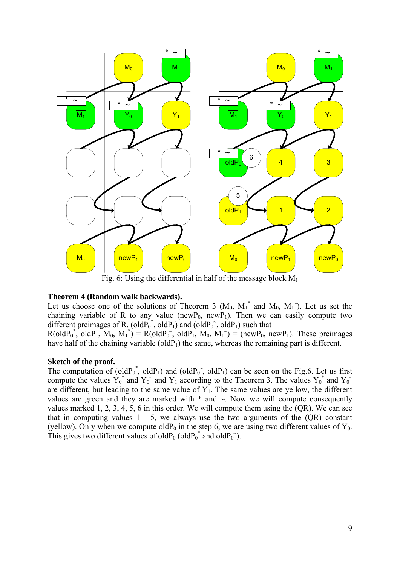

Fig. 6: Using the differential in half of the message block  $M_1$ 

#### **Theorem 4 (Random walk backwards).**

Let us choose one of the solutions of Theorem 3  $(M_0, M_1^*$  and  $M_0, M_1^*)$ . Let us set the chaining variable of R to any value (newP<sub>0</sub>, newP<sub>1</sub>). Then we can easily compute two different preimages of R, (old $P_0^*$ , old $P_1$ ) and (old $P_0^*$ , old $P_1$ ) such that

 $R(\text{oldP}_0^*, \text{oldP}_1, M_0, M_1^*) = R(\text{oldP}_0^*, \text{oldP}_1, M_0, M_1^*) = (\text{newP}_0, \text{newP}_1).$  These preimages have half of the chaining variable (old $P_1$ ) the same, whereas the remaining part is different.

#### **Sketch of the proof.**

The computation of (old $P_0^*$ , old $P_1$ ) and (old $P_0^*$ , old $P_1$ ) can be seen on the Fig.6. Let us first compute the values  $Y_0^*$  and  $Y_0^-$  and  $Y_1$  according to the Theorem 3. The values  $Y_0^*$  and  $Y_0^$ are different, but leading to the same value of  $Y_1$ . The same values are yellow, the different values are green and they are marked with  $*$  and  $\sim$ . Now we will compute consequently values marked 1, 2, 3, 4, 5, 6 in this order. We will compute them using the (QR). We can see that in computing values  $1 - 5$ , we always use the two arguments of the  $(QR)$  constant (yellow). Only when we compute oldP<sub>0</sub> in the step 6, we are using two different values of  $Y_0$ . This gives two different values of old $P_0$  (old $P_0^*$  and old $P_0^*$ ).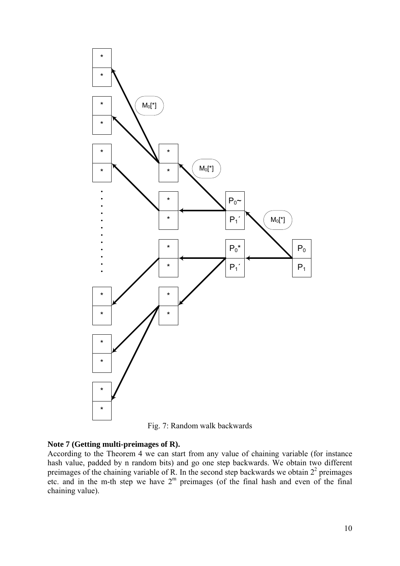

Fig. 7: Random walk backwards

#### **Note 7 (Getting multi-preimages of R).**

According to the Theorem 4 we can start from any value of chaining variable (for instance hash value, padded by n random bits) and go one step backwards. We obtain two different preimages of the chaining variable of  $\overline{R}$ . In the second step backwards we obtain  $2<sup>2</sup>$  preimages etc. and in the m-th step we have  $2<sup>m</sup>$  preimages (of the final hash and even of the final chaining value).